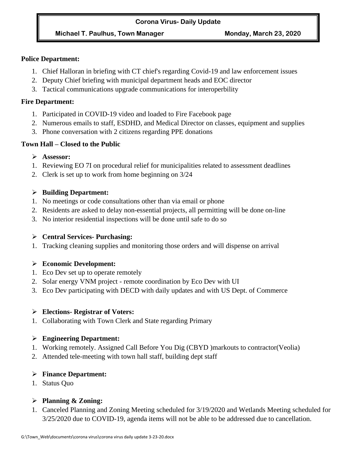#### **Corona Virus- Daily Update**

## **Michael T. Paulhus, Town Manager Monday, March 23, 2020**

### **Police Department:**

- 1. Chief Halloran in briefing with CT chief's regarding Covid-19 and law enforcement issues
- 2. Deputy Chief briefing with municipal department heads and EOC director
- 3. Tactical communications upgrade communications for interoperbility

### **Fire Department:**

- 1. Participated in COVID-19 video and loaded to Fire Facebook page
- 2. Numerous emails to staff, ESDHD, and Medical Director on classes, equipment and supplies
- 3. Phone conversation with 2 citizens regarding PPE donations

## **Town Hall – Closed to the Public**

- ➢ **Assessor:**
- 1. Reviewing EO 7I on procedural relief for municipalities related to assessment deadlines
- 2. Clerk is set up to work from home beginning on 3/24

## ➢ **Building Department:**

- 1. No meetings or code consultations other than via email or phone
- 2. Residents are asked to delay non-essential projects, all permitting will be done on-line
- 3. No interior residential inspections will be done until safe to do so

# ➢ **Central Services- Purchasing:**

1. Tracking cleaning supplies and monitoring those orders and will dispense on arrival

# ➢ **Economic Development:**

- 1. Eco Dev set up to operate remotely
- 2. Solar energy VNM project remote coordination by Eco Dev with UI
- 3. Eco Dev participating with DECD with daily updates and with US Dept. of Commerce

# ➢ **Elections- Registrar of Voters:**

1. Collaborating with Town Clerk and State regarding Primary

# ➢ **Engineering Department:**

- 1. Working remotely. Assigned Call Before You Dig (CBYD )markouts to contractor(Veolia)
- 2. Attended tele-meeting with town hall staff, building dept staff

# ➢ **Finance Department:**

1. Status Quo

# ➢ **Planning & Zoning:**

1. Canceled Planning and Zoning Meeting scheduled for 3/19/2020 and Wetlands Meeting scheduled for 3/25/2020 due to COVID-19, agenda items will not be able to be addressed due to cancellation.